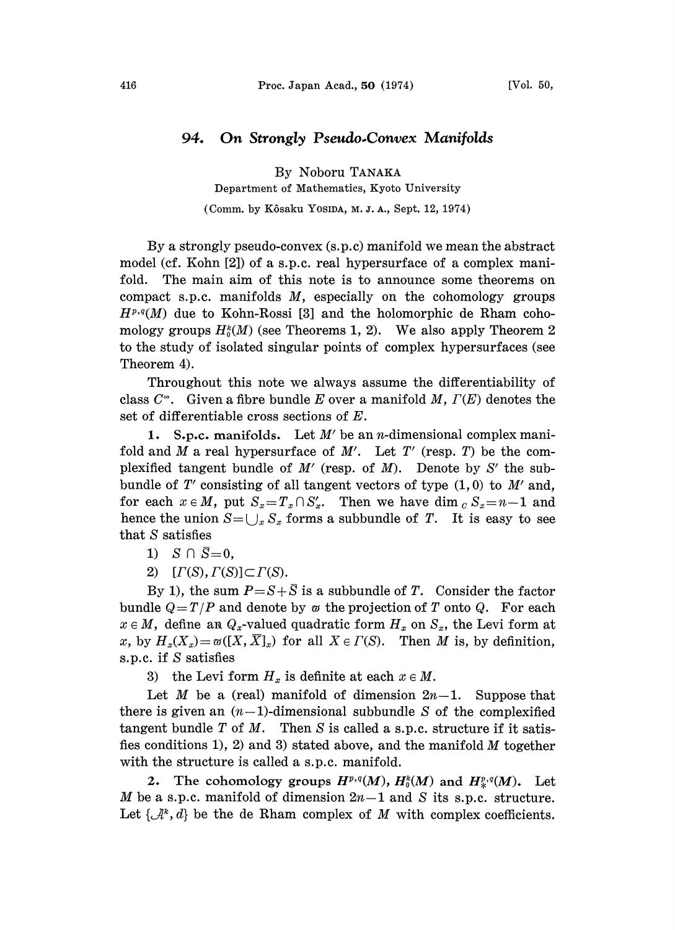## 94. On Strongly Pseudo.Convex Manifolds

By Noboru TANAKA

Department of Mathematics, Kyoto University

(Comm. by Kôsaku Yosida, M.J.A., Sept. 12, 1974)

By a strongly pseudo-convex (s.p.c) manifold we mean the abstract model (cf. Kohn [2]) of a s.p.c, real hypersurface of a complex manifold. The main aim of this note is to announce some theorems on compact s.p.c. manifolds  $M$ , especially on the cohomology groups  $H^{p,q}(M)$  due to Kohn-Rossi [3] and the holomorphic de Rham cohomology groups  $H_0^k(M)$  (see Theorems 1, 2). We also apply Theorem 2 to the study of isolated singular points of complex hypersurfaces (see Theorem 4).

Throughout this note we always assume the differentiability of class  $C^{\infty}$ . Given a fibre bundle E over a manifold M,  $\Gamma(E)$  denotes the set of differentiable cross sections of E.

1. S.p.c. manifolds. Let  $M'$  be an *n*-dimensional complex manifold and M a real hypersurface of M'. Let  $T'$  (resp. T) be the complexified tangent bundle of  $M'$  (resp. of  $M$ ). Denote by  $S'$  the subbundle of  $T'$  consisting of all tangent vectors of type  $(1, 0)$  to  $M'$  and, for each  $x \in M$ , put  $S_x=T_x\cap S'_x$ . Then we have dim  $c S_x=n-1$  and hence the union  $S=\bigcup_{x} S_x$  forms a subbundle of T. It is easy to see that S satisfies

- 1)  $S \cap \overline{S}=0$ ,
- 2)  $[T(S), \Gamma(S)] \subset \Gamma(S)$ .

By 1), the sum  $P=S+\overline{S}$  is a subbundle of T. Consider the factor bundle  $Q=T/P$  and denote by  $\omega$  the projection of T onto Q. For each  $x \in M$ , define an  $Q_x$ -valued quadratic form  $H_x$  on  $S_x$ , the Levi form at x, by  $H_x(X_x) = \varpi([X, \overline{X}]_x)$  for all  $X \in \Gamma(S)$ . Then M is, by definition, s.p.c, if S satisfies

3) the Levi form  $H_x$  is definite at each  $x \in M$ .

Let M be a (real) manifold of dimension  $2n-1$ . Suppose that there is given an  $(n-1)$ -dimensional subbundle S of the complexified tangent bundle T of M. Then S is called a s.p.c. structure if it satisfies conditions 1), 2) and 3) stated above, and the manifold  $M$  together with the structure is called a s.p.c, manifold.

2. The cohomology groups  $H^{p,q}(M)$ ,  $H_0^k(M)$  and  $H^{p,q}(M)$ . Let M be a s.p.c. manifold of dimension  $2n-1$  and S its s.p.c. structure. Let  $\{\mathcal{A}^k, d\}$  be the de Rham complex of M with complex coefficients.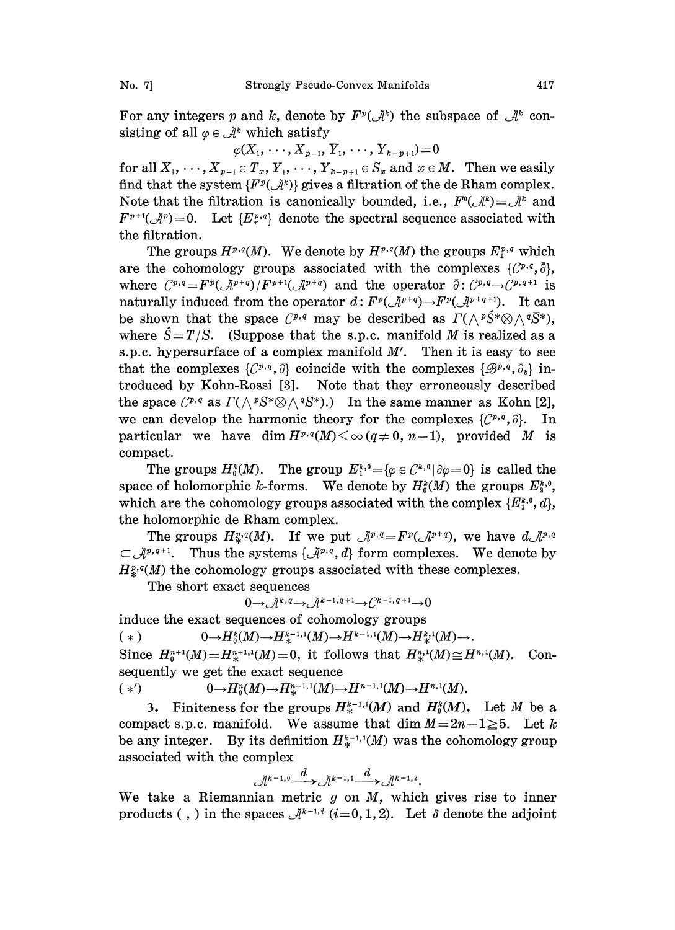For any integers p and k, denote by  $F^p(\mathcal{A}^k)$  the subspace of  $\mathcal{A}^k$  consisting of all  $\varphi \in \mathcal{A}^k$  which satisfy

 $\varphi(X_1, \ldots, X_{n-1}, \overline{Y}_1, \ldots, \overline{Y}_{k-n+1})=0$ 

for all  $X_1, \dots, X_{p-1} \in T_x, Y_1, \dots, Y_{k-p+1} \in S_x$  and  $x \in M$ . Then we easily find that the system  $\{F^p(\mathcal{A}^k)\}\$  gives a filtration of the de Rham complex. Note that the filtration is canonically bounded, i.e.,  $F^{0}(\mathcal{A}^{k}) = \mathcal{A}^{k}$  and  $F^{p+1}(\mathcal{A}^p)=0$ . Let  $\{E^{p,q}_r\}$  denote the spectral sequence associated with the filtration.

The groups  $H^{p,q}(M)$ . We denote by  $H^{p,q}(M)$  the groups  $E^{p,q}$  which are the cohomology groups associated with the complexes  $\{C^{p,q},\bar{\partial}\},\$ where  $\mathcal{C}^{p,q} = F^p(\mathcal{A}^{p+q})/F^{p+1}(\mathcal{A}^{p+q})$  and the operator  $\bar{\partial}: \mathcal{C}^{p,q} \to \mathcal{C}^{p,q+1}$  is naturally induced from the operator  $d: F^p(\mathcal{A}^{p+q}) \to F^p(\mathcal{A}^{p+q+1})$ . It can where  $\mathcal{C}^{p,q} = F^p(\mathcal{A}^{p+q})/F^{p+1}(\mathcal{A}^{p+q})$  and the operator  $\bar{\partial}: \mathcal{C}^{p,q} \to \mathcal{C}^{p,q+1}$  is be shown that the space  $\mathbb{C}^{p,q}$  may be described as  $\Gamma(\wedge^p\hat{S}^*\otimes\wedge^q\bar{S}^*)$ , where  $\hat{S}=T/\overline{S}$ . (Suppose that the s.p.c. manifold M is realized as a s.p.c. hypersurface of a complex manifold  $M'$ . Then it is easy to see that the complexes  $\{\mathcal{C}^{p,q},\bar{\partial}\}\)$  coincide with the complexes  $\{\mathcal{B}^{p,q},\bar{\partial}_b\}$  introduced by Kohn-Rossi [3]. Note that they erroneously described the space  $\mathcal{C}^{p,q}$  as  $\Gamma(\wedge^p S^* \otimes \wedge^q \overline{S}^*)$ .) In the same manner as Kohn [2], we can develop the harmonic theory for the complexes  $\{\mathcal{C}^{p,q},\overline{\partial}\}$ . In particular we have dim  $H^{p,q}(M) \leq \infty (q \neq 0, n-1)$ , provided M is compact.

The groups  $H_0^k(M)$ . The group  $E_1^{k,0} = {\varphi \in C^{k,0} | \bar{\partial} \varphi = 0}$  is called the space of holomorphic k-forms. We denote by  $H_0^k(M)$  the groups  $E_2^{k_0}$ . which are the cohomology groups associated with the complex  $\{E_1^{k,0}, d\}$ , the holomorphic de Rham complex.

The groups  $H^{p,q}_* (M)$ . If we put  $\mathcal{A}^{p,q} = F^p(\mathcal{A}^{p+q})$ , we have  $d\mathcal{A}^{p,q}$  $\subset \mathcal{A}^{p,q+1}$ . Thus the systems  $\{\mathcal{A}^{p,q}, d\}$  form complexes. We denote by  $H_{\infty}^{p,q}(M)$  the cohomology groups associated with these complexes.

The short exact sequences

 $0 \rightarrow \mathcal{A}^{k,q} \rightarrow \mathcal{A}^{k-1,q+1} \rightarrow \mathcal{C}^{k-1,q+1} \rightarrow 0$ 

induce the exact sequences of cohomology groups

(\*)  $0 \rightarrow H_0^k(M) \rightarrow H_*^{k-1,1}(M) \rightarrow H^{k-1,1}(M) \rightarrow H_*^{k,1}(M) \rightarrow$ .

Since  $H^{n+1}(M) = H^{n+1}(M) = 0$ , it follows that  $H^{n,1}(M) \cong H^{n,1}(M)$ . Consequently we get the exact sequence

(\*)  $0 \to H_0^n(M) \to H_*^{n-1,1}(M) \to H^{n-1,1}(M) \to H^{n,1}(M).$ 

3. Finiteness for the groups  $H^{k-1,1}(M)$  and  $H^{k}(M)$ . Let M be a compact s.p.c. manifold. We assume that dim  $M=2n-1\geq 5$ . Let k be any integer. By its definition  $H^{k-1,1}(M)$  was the cohomology group associated with the complex

$$
\mathcal{A}^{k-1,0} \xrightarrow{d} \mathcal{A}^{k-1,1} \xrightarrow{d} \mathcal{A}^{k-1,2}.
$$

We take a Riemannian metric  $g$  on  $M$ , which gives rise to inner products (, ) in the spaces  $\mathcal{A}^{k-1,i}$  (i=0, 1, 2). Let  $\delta$  denote the adjoint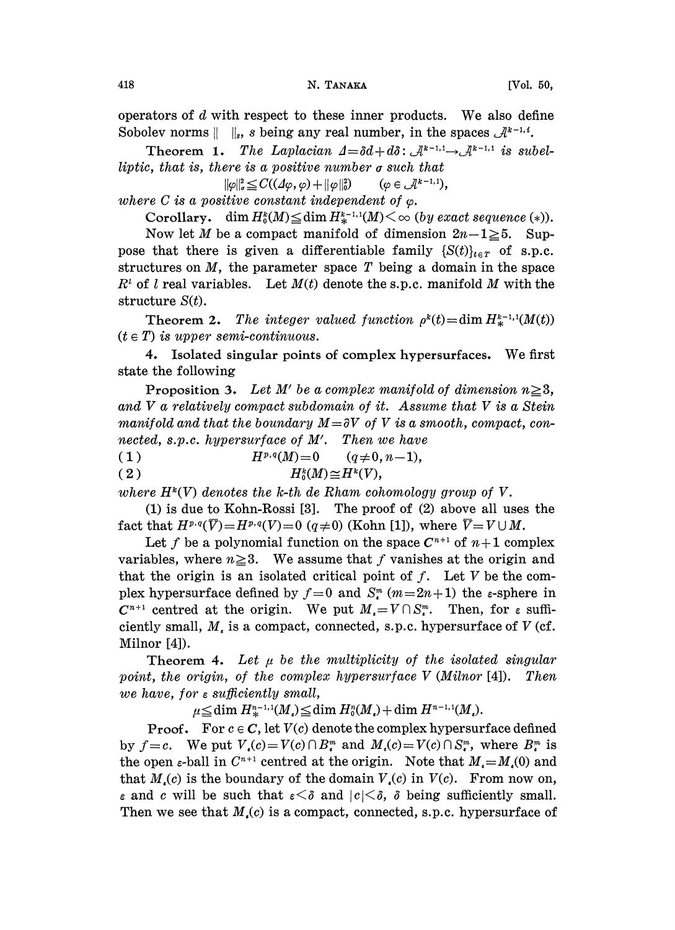operators of d with respect to these inner products. We also define Sobolev norms  $\|\cdot\|_s$ , s being any real number, in the spaces  $\mathcal{A}^{k-1,i}$ .

Theorem 1. The Laplacian  $\Delta = \delta d + d\delta$ :  $\mathcal{A}^{k-1,1} \rightarrow \mathcal{A}^{k-1,1}$  is subelliptic, that is, there is a positive number  $\sigma$  such that

$$
\|\varphi\|_{\sigma}^2 \leq C((\varphi, \varphi) + \|\varphi\|_{0}^2) \qquad (\varphi \in \mathcal{A}^{k-1, 1}),
$$

where C is a positive constant independent of  $\varphi$ .

Corollary. dim  $H_0^k(M) \leq \dim H_*^{k-1,1}(M) \leq \infty$  (by exact sequence (\*)).

Now let M be a compact manifold of dimension  $2n-1\geq 5$ . Suppose that there is given a differentiable family  $\{S(t)\}_{t \in T}$  of s.p.c. structures on  $M$ , the parameter space  $T$  being a domain in the space  $R<sup>t</sup>$  of l real variables. Let  $M(t)$  denote the s.p.c. manifold M with the structure  $S(t)$ .

Theorem 2. The integer valued function  $\rho^k(t) = \dim H^{k-1,1}(M(t))$  $(t \in T)$  is upper semi-continuous.

4. Isolated singular points of complex hypersurfaces. We first state the following

**Proposition 3.** Let M' be a complex manifold of dimension  $n \geq 3$ , and  $V$  a relatively compact subdomain of it. Assume that  $V$  is a Stein manifold and that the boundary  $M = \partial V$  of V is a smooth, compact, connected, s.p.c. hypersurface of  $M'$ . Then we have

( 1 )  $H^{p,q}(M)=0 \t(q\neq 0, n-1),$ ( 2 )  $H_0^k(M) \cong H^k(V)$ ,

where  $H^*(V)$  denotes the k-th de Rham cohomology group of V.

(1) is due to Kohn-Rossi [3]. The proof of (2) above all uses the fact that  $H^{p,q}(\overline{V})=H^{p,q}(V)=0$   $(q\neq 0)$  (Kohn [1]), where  $\overline{V}=V\cup M$ .

that  $H^{p,q}(V) = H^{p,q}(V) = 0$  ( $q \neq 0$ ) (Kohn [1]), where  $V = V \cup M$ .<br>Let f be a polynomial function on the space  $C^{n+1}$  of  $n+1$  complex variables, where  $n \geq 3$ . We assume that f vanishes at the origin and that the origin is an isolated critical point of  $f$ . Let  $V$  be the complex hypersurface defined by  $f=0$  and  $S_{\kappa}^{m}$   $(m=2n+1)$  the  $\varepsilon$ -sphere in  $C^{n+1}$  centred at the origin. We put  $M_{\star}=V\cap S^{m}_{\star}$ . Then, for  $\varepsilon$  sufficiently small,  $M<sub>s</sub>$  is a compact, connected, s.p.c. hypersurface of  $V$  (cf. Milnor [4]).

Theorem 4. Let  $\mu$  be the multiplicity of the isolated singular point, the origin, of the complex hypersurface V (Milnor [4]). Then we have, for  $\varepsilon$  sufficiently small,

 $\mu \leq \dim H^{n-1,1}(M_{\epsilon}) \leq \dim H^{n}(M_{\epsilon}) + \dim H^{n-1,1}(M_{\epsilon}).$ 

**Proof.** For  $c \in \mathbb{C}$ , let  $V(c)$  denote the complex hypersurface defined by  $f=c$ . We put  $V_{\epsilon}(c)=V(c) \cap B_{\epsilon}^{m}$  and  $M_{\epsilon}(c)=V(c) \cap S_{\epsilon}^{m}$ , where  $B_{\epsilon}^{m}$  is by  $f = c$ . We put  $V_{\bullet}(c) = V(c) \cap B_{\bullet}^{m}$  and  $M_{\bullet}(c) = V(c) \cap S_{\bullet}^{m}$ , where  $B_{\bullet}^{m}$  is the open  $\varepsilon$ -ball in  $C^{n+1}$  centred at the origin. Note that  $M_{\bullet} = M_{\bullet}(0)$  and that  $M_c(c)$  is the boundary of the domain  $V_c(c)$  in  $V(c)$ . From now on,  $\varepsilon$  and c will be such that  $\varepsilon < \delta$  and  $|c| < \delta$ ,  $\delta$  being sufficiently small. Then we see that  $M_{\star}(c)$  is a compact, connected, s.p.c. hypersurface of